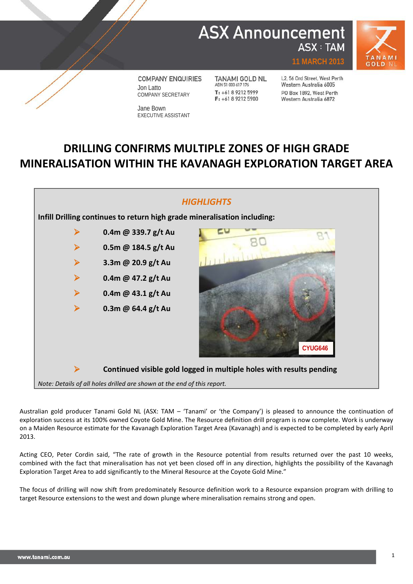## **ASX Announcement ASX: TAM**



**COMPANY ENQUIRIES** Jon Latto COMPANY SECRETARY

Jane Bown EXECUTIVE ASSISTANT

**TANAMI GOLD NL** ABN 51 000 617 176 T: +61 8 9212 5999  $F: +61892125900$ 

L2, 56 Ord Street, West Perth Western Australia 6005 PO Box 1892, West Perth Western Australia 6872

**11 MARCH 2013**

## **DRILLING CONFIRMS MULTIPLE ZONES OF HIGH GRADE MINERALISATION WITHIN THE KAVANAGH EXPLORATION TARGET AREA**



Australian gold producer Tanami Gold NL (ASX: TAM – 'Tanami' or 'the Company') is pleased to announce the continuation of exploration success at its 100% owned Coyote Gold Mine. The Resource definition drill program is now complete. Work is underway on a Maiden Resource estimate for the Kavanagh Exploration Target Area (Kavanagh) and is expected to be completed by early April 2013.

Acting CEO, Peter Cordin said, "The rate of growth in the Resource potential from results returned over the past 10 weeks, combined with the fact that mineralisation has not yet been closed off in any direction, highlights the possibility of the Kavanagh Exploration Target Area to add significantly to the Mineral Resource at the Coyote Gold Mine."

The focus of drilling will now shift from predominately Resource definition work to a Resource expansion program with drilling to target Resource extensions to the west and down plunge where mineralisation remains strong and open.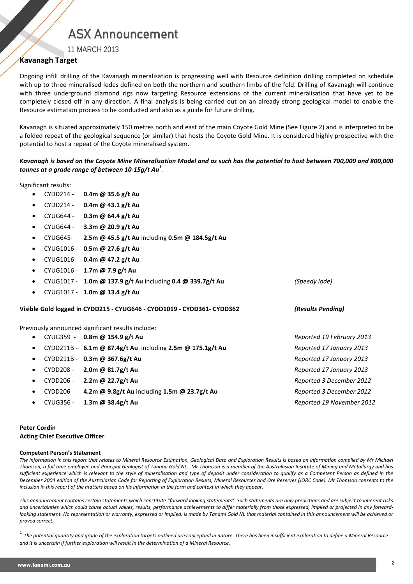# **ASX Announcement**

11 MARCH 2013

### **Kavanagh Target**

Ongoing infill drilling of the Kavanagh mineralisation is progressing well with Resource definition drilling completed on schedule with up to three mineralised lodes defined on both the northern and southern limbs of the fold. Drilling of Kavanagh will continue with three underground diamond rigs now targeting Resource extensions of the current mineralisation that have yet to be completely closed off in any direction. A final analysis is being carried out on an already strong geological model to enable the Resource estimation process to be conducted and also as a guide for future drilling.

Kavanagh is situated approximately 150 metres north and east of the main Coyote Gold Mine (See Figure 2) and is interpreted to be a folded repeat of the geological sequence (or similar) that hosts the Coyote Gold Mine. It is considered highly prospective with the potential to host a repeat of the Coyote mineralised system.

*Kavanagh is based on the Coyote Mine Mineralisation Model and as such has the potential to host between 700,000 and 800,000 tonnes at a grade range of between 10-15g/t Au<sup>1</sup> .*

Significant results:

- CYDD214 **0.4m @ 35.6 g/t Au**
- CYDD214 **0.4m @ 43.1 g/t Au**
- CYUG644 **0.3m @ 64.4 g/t Au**
- CYUG644 **3.3m @ 20.9 g/t Au**
- CYUG645- **2.5m @ 45.5 g/t Au** including **0.5m @ 184.5g/t Au**
- CYUG1016 **0.5m @ 27.6 g/t Au**
- CYUG1016 **0.4m @ 47.2 g/t Au**
- CYUG1016 **1.7m @ 7.9 g/t Au**
- CYUG1017 **1.0m @ 137.9 g/t Au** including **0.4 @ 339.7g/t Au** *(Speedy lode)*
- CYUG1017 **1.0m @ 13.4 g/t Au**

**Visible Gold logged in CYDD215 - CYUG646 - CYDD1019 - CYDD361- CYDD362** *(Results Pending)*

Previously announced significant results include:

- CYUG359 **- 0.8m @ 154.9 g/t Au** *Reported 19 February 2013*
	- CYDD211B **6.1m @ 87.4g/t Au** including **2.5m @ 175.1g/t Au** *Reported 17 January 2013*
	- CYDD211B **0.3m @ 367.6g/t Au** *Reported 17 January 2013*
	- CYDD208 **2.0m @ 81.7g/t Au** *Reported 17 January 2013*
	- CYDD206 **2.2m @ 22.7g/t Au** *Reported 3 December 2012*
	- CYDD206 **4.2m @ 9.8g/t Au** including **1.5m @ 23.7g/t Au** *Reported 3 December 2012*
	- CYUG356 **1.3m @ 38.4g/t Au** *Reported 19 November 2012*

### **Peter Cordin Acting Chief Executive Officer**

### **Competent Person's Statement**

*The information in this report that relates to Mineral Resource Estimation, Geological Data and Exploration Results is based on information compiled by Mr Michael Thomson, a full time employee and Principal Geologist of Tanami Gold NL. Mr Thomson is a member of the Australasian Institute of Mining and Metallurgy and has sufficient experience which is relevant to the style of mineralisation and type of deposit under consideration to qualify as a Competent Person as defined in the December 2004 edition of the Australasian Code for Reporting of Exploration Results, Mineral Resources and Ore Reserves (JORC Code). Mr Thomson consents to the inclusion in this report of the matters based on his information in the form and context in which they appear.*

*This announcement contains certain statements which constitute "forward looking statements". Such statements are only predictions and are subject to inherent risks and uncertainties which could cause actual values, results, performance achievements to differ materially from those expressed, implied or projected in any forward*looking statement. No representation or warranty, expressed or implied, is made by Tanami Gold NL that material contained in this announcement will be achieved or *proved correct.*

<sup>1</sup> *The potential quantity and grade of the exploration targets outlined are conceptual in nature. There has been insufficient exploration to define a Mineral Resource and it is uncertain if further exploration will result in the determination of a Mineral Resource.*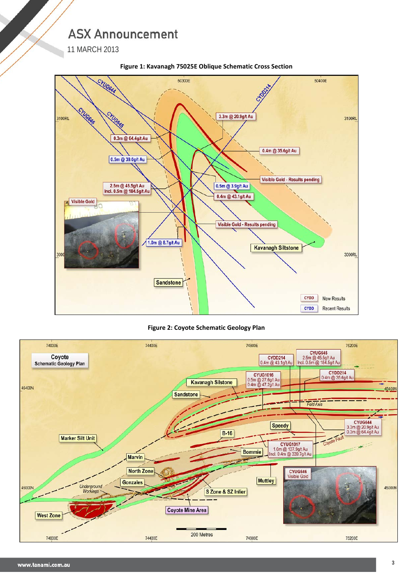# **ASX Announcement**

11 MARCH 2013



**Figure 1: Kavanagh 75025E Oblique Schematic Cross Section**

**Figure 2: Coyote Schematic Geology Plan**